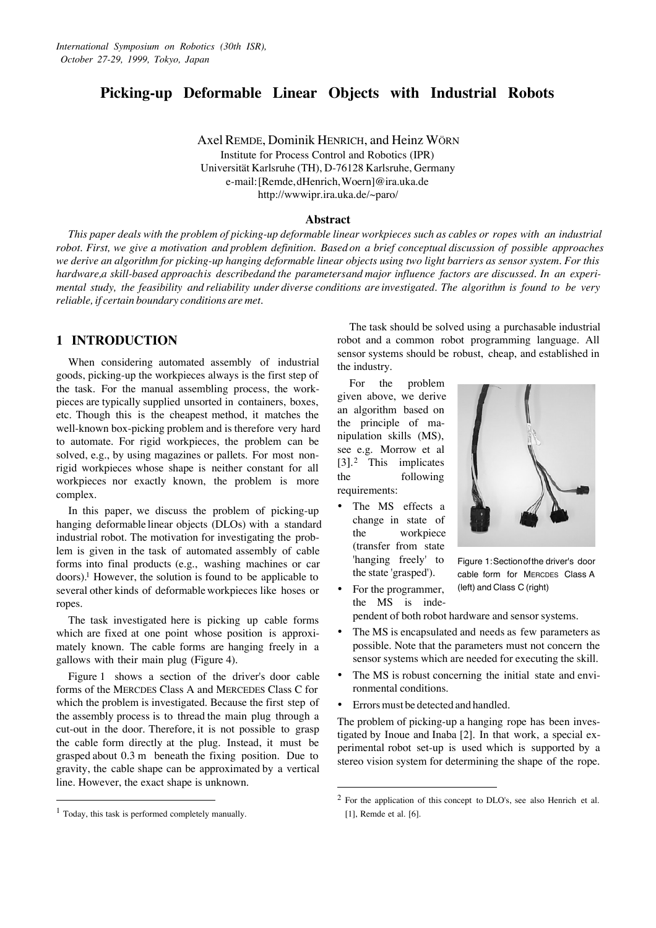# **Picking-up Deformable Linear Objects with Industrial Robots**

Axel REMDE, Dominik HENRICH, and Heinz WÖRN Institute for Process Control and Robotics (IPR) Universität Karlsruhe (TH), D-76128 Karlsruhe, Germany e-mail: [Remde, dHenrich, Woern]@ira.uka.de http://wwwipr.ira.uka.de/~paro/

#### **Abstract**

*This paper deals with the problem of picking-up deformable linear workpieces such as cables or ropes with an industrial robot. First, we give a motivation and problem definition. Based on a brief conceptual discussion of possible approaches we derive an algorithm for picking-up hanging deformable linear objects using two light barriers as sensor system. For this* hardware, a skill-based approachis described and the parameters and major influence factors are discussed. In an experi*mental study, the feasibility and reliability under diverse conditions are investigated. The algorithm is found to be very reliable, if certain boundary conditions are met.*

## **1 INTRODUCTION**

When considering automated assembly of industrial goods, picking-up the workpieces always is the first step of the task. For the manual assembling process, the workpieces are typically supplied unsorted in containers, boxes, etc. Though this is the cheapest method, it matches the well-known box-picking problem and is therefore very hard to automate. For rigid workpieces, the problem can be solved, e.g., by using magazines or pallets. For most nonrigid workpieces whose shape is neither constant for all workpieces nor exactly known, the problem is more complex.

In this paper, we discuss the problem of picking-up hanging deformable linear objects (DLOs) with a standard industrial robot. The motivation for investigating the problem is given in the task of automated assembly of cable forms into final products (e.g., washing machines or car doors).<sup>1</sup> However, the solution is found to be applicable to several other kinds of deformable workpieces like hoses or ropes.

The task investigated here is picking up cable forms which are fixed at one point whose position is approximately known. The cable forms are hanging freely in a gallows with their main plug (Figure 4).

Figure 1 shows a section of the driver's door cable forms of the MERCDES Class A and MERCEDES Class C for which the problem is investigated. Because the first step of the assembly process is to thread the main plug through a cut-out in the door. Therefore, it is not possible to grasp the cable form directly at the plug. Instead, it must be grasped about 0.3 m beneath the fixing position. Due to gravity, the cable shape can be approximated by a vertical line. However, the exact shape is unknown.

 $\overline{a}$ 

The task should be solved using a purchasable industrial robot and a common robot programming language. All sensor systems should be robust, cheap, and established in the industry.

For the problem given above, we derive an algorithm based on the principle of manipulation skills (MS), see e.g. Morrow et al [3].<sup>2</sup> This implicates the following requirements:

- The MS effects a change in state of the workpiece (transfer from state 'hanging freely' to the state 'grasped').
	- For the programmer, the MS is inde-



Figure 1: Section of the driver's door cable form for MERCDES Class A (left) and Class C (right)

pendent of both robot hardware and sensor systems.

- The MS is encapsulated and needs as few parameters as possible. Note that the parameters must not concern the sensor systems which are needed for executing the skill.
- · The MS is robust concerning the initial state and environmental conditions.
- Errors must be detected and handled.

 $\overline{a}$ 

The problem of picking-up a hanging rope has been investigated by Inoue and Inaba [2]. In that work, a special experimental robot set-up is used which is supported by a stereo vision system for determining the shape of the rope.

 $<sup>1</sup>$  Today, this task is performed completely manually.</sup>

<sup>2</sup> For the application of this concept to DLO's, see also Henrich et al. [1], Remde et al. [6].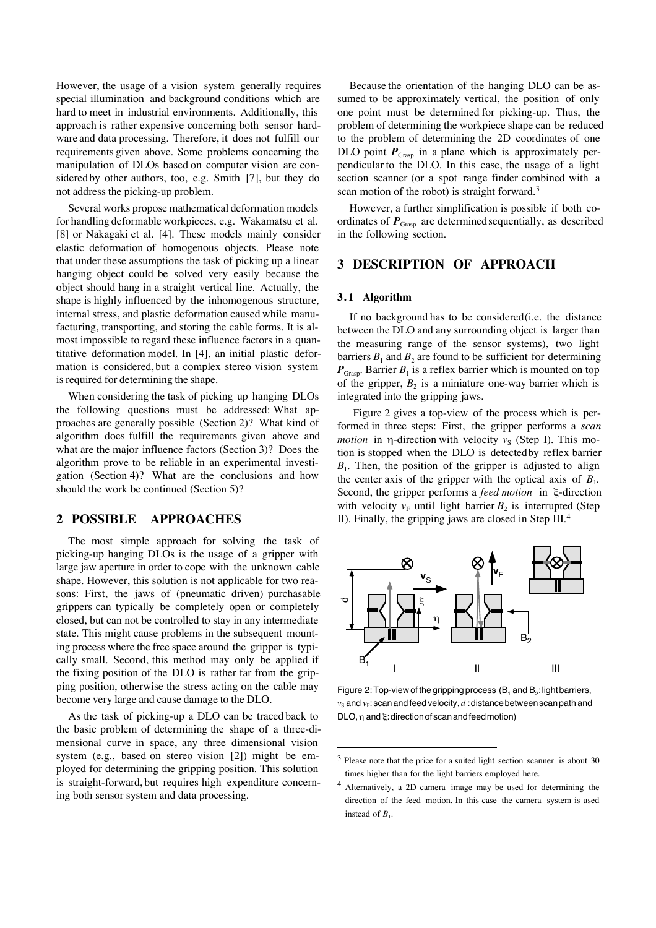However, the usage of a vision system generally requires special illumination and background conditions which are hard to meet in industrial environments. Additionally, this approach is rather expensive concerning both sensor hardware and data processing. Therefore, it does not fulfill our requirements given above. Some problems concerning the manipulation of DLOs based on computer vision are considered by other authors, too, e.g. Smith [7], but they do not address the picking-up problem.

Several works propose mathematical deformation models for handling deformable workpieces, e.g. Wakamatsu et al. [8] or Nakagaki et al. [4]. These models mainly consider elastic deformation of homogenous objects. Please note that under these assumptions the task of picking up a linear hanging object could be solved very easily because the object should hang in a straight vertical line. Actually, the shape is highly influenced by the inhomogenous structure, internal stress, and plastic deformation caused while manufacturing, transporting, and storing the cable forms. It is almost impossible to regard these influence factors in a quantitative deformation model. In [4], an initial plastic deformation is considered, but a complex stereo vision system is required for determining the shape.

When considering the task of picking up hanging DLOs the following questions must be addressed: What approaches are generally possible (Section 2)? What kind of algorithm does fulfill the requirements given above and what are the major influence factors (Section 3)? Does the algorithm prove to be reliable in an experimental investigation (Section 4)? What are the conclusions and how should the work be continued (Section 5)?

# **2 POSSIBLE APPROACHES**

The most simple approach for solving the task of picking-up hanging DLOs is the usage of a gripper with large jaw aperture in order to cope with the unknown cable shape. However, this solution is not applicable for two reasons: First, the jaws of (pneumatic driven) purchasable grippers can typically be completely open or completely closed, but can not be controlled to stay in any intermediate state. This might cause problems in the subsequent mounting process where the free space around the gripper is typically small. Second, this method may only be applied if the fixing position of the DLO is rather far from the gripping position, otherwise the stress acting on the cable may become very large and cause damage to the DLO.

As the task of picking-up a DLO can be traced back to the basic problem of determining the shape of a three-dimensional curve in space, any three dimensional vision system (e.g., based on stereo vision [2]) might be employed for determining the gripping position. This solution is straight-forward, but requires high expenditure concerning both sensor system and data processing.

Because the orientation of the hanging DLO can be assumed to be approximately vertical, the position of only one point must be determined for picking-up. Thus, the problem of determining the workpiece shape can be reduced to the problem of determining the 2D coordinates of one DLO point  $P_{\text{Grasp}}$  in a plane which is approximately perpendicular to the DLO. In this case, the usage of a light section scanner (or a spot range finder combined with a scan motion of the robot) is straight forward.<sup>3</sup>

However, a further simplification is possible if both coordinates of  $P_{\text{Grasp}}$  are determined sequentially, as described in the following section.

# **3 DESCRIPTION OF APPROACH**

#### **3. 1 Algorithm**

 $\overline{a}$ 

If no background has to be considered (i.e. the distance between the DLO and any surrounding object is larger than the measuring range of the sensor systems), two light barriers  $B_1$  and  $B_2$  are found to be sufficient for determining  $P_{\text{Grasp}}$ . Barrier  $B_1$  is a reflex barrier which is mounted on top of the gripper,  $B_2$  is a miniature one-way barrier which is integrated into the gripping jaws.

 Figure 2 gives a top-view of the process which is performed in three steps: First, the gripper performs a *scan motion* in  $\eta$ -direction with velocity  $v_s$  (Step I). This motion is stopped when the DLO is detected by reflex barrier  $B_1$ . Then, the position of the gripper is adjusted to align the center axis of the gripper with the optical axis of  $B_1$ . Second, the gripper performs a *feed motion* in  $\xi$ -direction with velocity  $v_F$  until light barrier  $B_2$  is interrupted (Step II). Finally, the gripping jaws are closed in Step III.<sup>4</sup>



Figure 2: Top-view of the gripping process  $(B_1 \text{ and } B_2)$ : light barriers,  $v_S$  and  $v_F$ : scan and feed velocity,  $d$  : distance between scan path and  $DLO, \eta$  and  $\xi$ : direction of scan and feed motion)

 $3$  Please note that the price for a suited light section scanner is about 30 times higher than for the light barriers employed here.

<sup>4</sup> Alternatively, a 2D camera image may be used for determining the direction of the feed motion. In this case the camera system is used instead of  $B_1$ .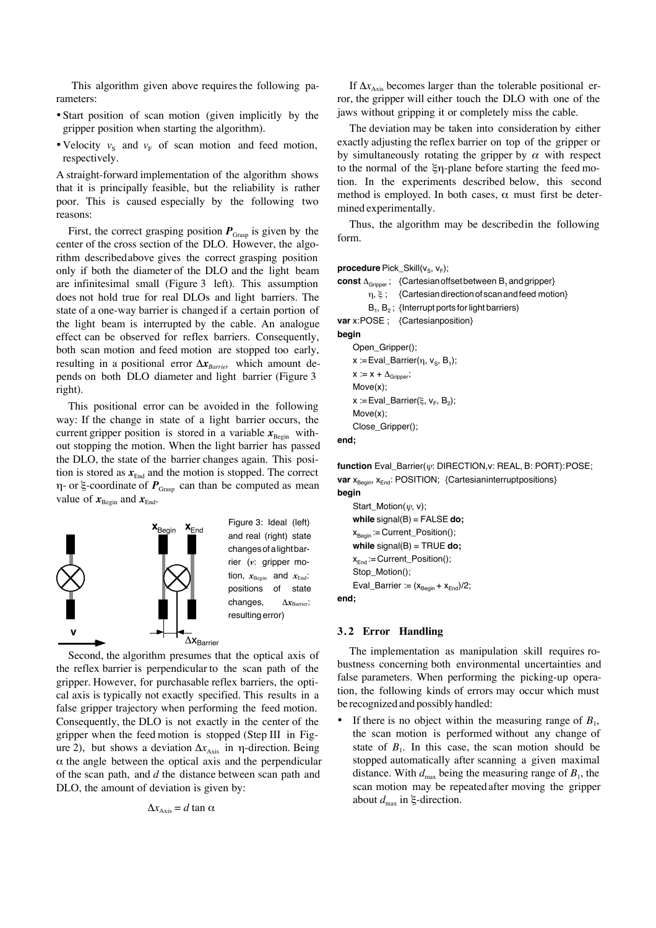This algorithm given above requires the following parameters:

- ·Start position of scan motion (given implicitly by the gripper position when starting the algorithm).
- Velocity  $v_S$  and  $v_F$  of scan motion and feed motion, respectively.

A straight-forward implementation of the algorithm shows that it is principally feasible, but the reliability is rather poor. This is caused especially by the following two reasons:

First, the correct grasping position  $P_{\text{Grasp}}$  is given by the center of the cross section of the DLO. However, the algorithm described above gives the correct grasping position only if both the diameter of the DLO and the light beam are infinitesimal small (Figure 3 left). This assumption does not hold true for real DLOs and light barriers. The state of a one-way barrier is changed if a certain portion of the light beam is interrupted by the cable. An analogue effect can be observed for reflex barriers. Consequently, both scan motion and feed motion are stopped too early, resulting in a positional error  $\Delta x_{\text{Barrier}}$  which amount depends on both DLO diameter and light barrier (Figure 3 right).

This positional error can be avoided in the following way: If the change in state of a light barrier occurs, the current gripper position is stored in a variable  $x_{\text{Begin}}$  without stopping the motion. When the light barrier has passed the DLO, the state of the barrier changes again. This position is stored as  $x_{\text{End}}$  and the motion is stopped. The correct  $\eta$ - or  $\xi$ -coordinate of  $P_{\text{Grasp}}$  can than be computed as mean value of  $x_{\text{Begin}}$  and  $x_{\text{End}}$ .



Second, the algorithm presumes that the optical axis of the reflex barrier is perpendicular to the scan path of the gripper. However, for purchasable reflex barriers, the optical axis is typically not exactly specified. This results in a false gripper trajectory when performing the feed motion. Consequently, the DLO is not exactly in the center of the gripper when the feed motion is stopped (Step III in Figure 2), but shows a deviation  $Δx<sub>Axis</sub>$  in η-direction. Being  $\alpha$  the angle between the optical axis and the perpendicular of the scan path, and *d* the distance between scan path and DLO, the amount of deviation is given by:

$$
\Delta x_{\text{Axis}} = d \tan \alpha
$$

If  $\Delta x_{\text{Axis}}$  becomes larger than the tolerable positional error, the gripper will either touch the DLO with one of the jaws without gripping it or completely miss the cable.

The deviation may be taken into consideration by either exactly adjusting the reflex barrier on top of the gripper or by simultaneously rotating the gripper by  $\alpha$  with respect to the normal of the  $\xi$ n-plane before starting the feed motion. In the experiments described below, this second method is employed. In both cases,  $\alpha$  must first be determined experimentally.

Thus, the algorithm may be described in the following form.

#### **procedure** Pick\_Skill(v<sub>s</sub>, v<sub>F</sub>);

```
{\sf const}\, \Delta_{\sf Gripper} ; \;\; {Cartesian offset between {\sf B}_1 and gripper}
           \eta, \xi; {Cartesian direction of scan and feed motion}
            B_1, B_2; {Interrupt ports for light barriers)
var x:POSE ; {Cartesian position}
begin
     Open_Gripper();
      \mathsf{x} \coloneqq \mathsf{Eval\_Barrier}(\eta, \mathsf{v}_{\mathsf{S}}, \mathsf{B}_1);x := x + \Delta_{\text{Gripper}};Move(x);
      x := Eval_Barrier(ξ, v<sub>F</sub>, B<sub>2</sub>);
     Move(x);
     Close_Gripper();
end;
```
**function** Eval\_Barrier(y: DIRECTION,v: REAL, B: PORT): POSE; **var**  $x_{\text{Begin}}$ ,  $x_{\text{End}}$ : POSITION; {Cartesian interrupt positions}

```
begin
    Start_Motion(\psi, v);
    while signal(B) = FALSE do;
    x_{\text{Begin}} = Current_Position();
     while signal(B) = TRUE do;
    x_{End} := Current_Position();
    Stop_Motion();
    Eval_Barrier := (x_{\text{Begin}} + x_{\text{End}})/2;
end;
```
#### **3. 2 Error Handling**

The implementation as manipulation skill requires robustness concerning both environmental uncertainties and false parameters. When performing the picking-up operation, the following kinds of errors may occur which must be recognized and possibly handled:

• If there is no object within the measuring range of  $B_1$ , the scan motion is performed without any change of state of  $B_1$ . In this case, the scan motion should be stopped automatically after scanning a given maximal distance. With  $d_{\text{max}}$  being the measuring range of  $B_1$ , the scan motion may be repeated after moving the gripper about  $d_{\text{max}}$  in  $\xi$ -direction.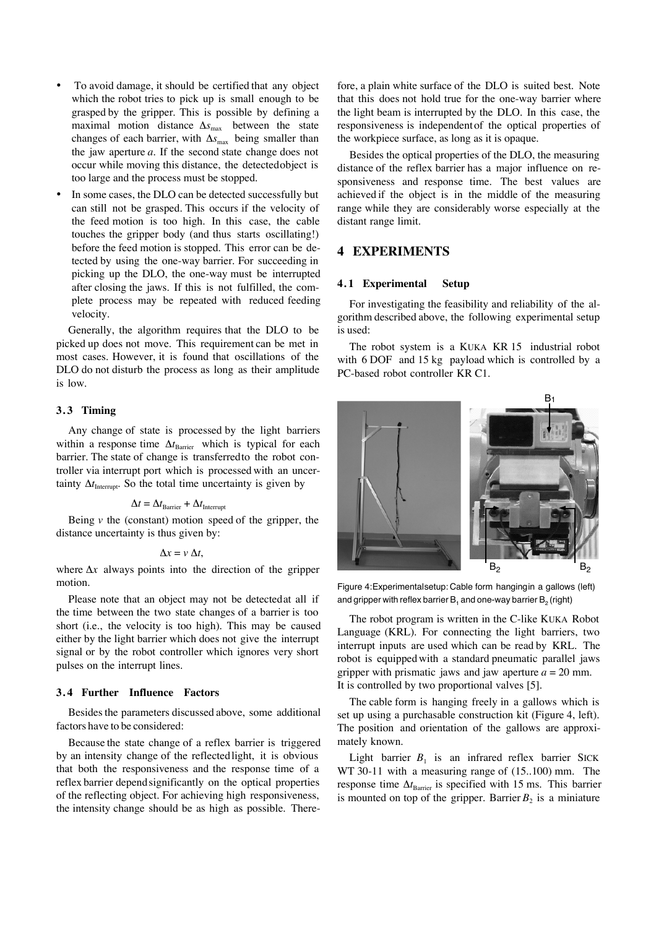- To avoid damage, it should be certified that any object which the robot tries to pick up is small enough to be grasped by the gripper. This is possible by defining a maximal motion distance  $\Delta s_{\text{max}}$  between the state changes of each barrier, with  $\Delta s_{\text{max}}$  being smaller than the jaw aperture *a*. If the second state change does not occur while moving this distance, the detected object is too large and the process must be stopped.
- In some cases, the DLO can be detected successfully but can still not be grasped. This occurs if the velocity of the feed motion is too high. In this case, the cable touches the gripper body (and thus starts oscillating!) before the feed motion is stopped. This error can be detected by using the one-way barrier. For succeeding in picking up the DLO, the one-way must be interrupted after closing the jaws. If this is not fulfilled, the complete process may be repeated with reduced feeding velocity.

Generally, the algorithm requires that the DLO to be picked up does not move. This requirement can be met in most cases. However, it is found that oscillations of the DLO do not disturb the process as long as their amplitude is low.

## **3. 3 Timing**

Any change of state is processed by the light barriers within a response time  $\Delta t_{\text{Barrier}}$  which is typical for each barrier. The state of change is transferred to the robot controller via interrupt port which is processed with an uncertainty  $\Delta t$ <sub>Interrupt</sub>. So the total time uncertainty is given by

$$
\Delta t = \Delta t_{\text{Barrier}} + \Delta t_{\text{Interrupt}}
$$

Being  $\nu$  the (constant) motion speed of the gripper, the distance uncertainty is thus given by:

$$
\Delta x = v \, \Delta t,
$$

where  $\Delta x$  always points into the direction of the gripper motion.

Please note that an object may not be detected at all if the time between the two state changes of a barrier is too short (i.e., the velocity is too high). This may be caused either by the light barrier which does not give the interrupt signal or by the robot controller which ignores very short pulses on the interrupt lines.

#### **3. 4 Further Influence Factors**

Besides the parameters discussed above, some additional factors have to be considered:

Because the state change of a reflex barrier is triggered by an intensity change of the reflected light, it is obvious that both the responsiveness and the response time of a reflex barrier depend significantly on the optical properties of the reflecting object. For achieving high responsiveness, the intensity change should be as high as possible. Therefore, a plain white surface of the DLO is suited best. Note that this does not hold true for the one-way barrier where the light beam is interrupted by the DLO. In this case, the responsiveness is independent of the optical properties of the workpiece surface, as long as it is opaque.

Besides the optical properties of the DLO, the measuring distance of the reflex barrier has a major influence on responsiveness and response time. The best values are achieved if the object is in the middle of the measuring range while they are considerably worse especially at the distant range limit.

# **4 EXPERIMENTS**

#### **4. 1 Experimental Setup**

For investigating the feasibility and reliability of the algorithm described above, the following experimental setup is used:

The robot system is a KUKA KR 15 industrial robot with 6 DOF and 15 kg payload which is controlled by a PC-based robot controller KR C1.



Figure 4: Experimental setup: Cable form hanging in a gallows (left) and gripper with reflex barrier  $\mathsf{B}_1$  and one-way barrier  $\mathsf{B}_2$  (right)

The robot program is written in the C-like KUKA Robot Language (KRL). For connecting the light barriers, two interrupt inputs are used which can be read by KRL. The robot is equipped with a standard pneumatic parallel jaws gripper with prismatic jaws and jaw aperture  $a = 20$  mm. It is controlled by two proportional valves [5].

The cable form is hanging freely in a gallows which is set up using a purchasable construction kit (Figure 4, left). The position and orientation of the gallows are approximately known.

Light barrier  $B_1$  is an infrared reflex barrier SICK WT 30-11 with a measuring range of (15..100) mm. The response time  $\Delta t_{\text{Barrier}}$  is specified with 15 ms. This barrier is mounted on top of the gripper. Barrier  $B_2$  is a miniature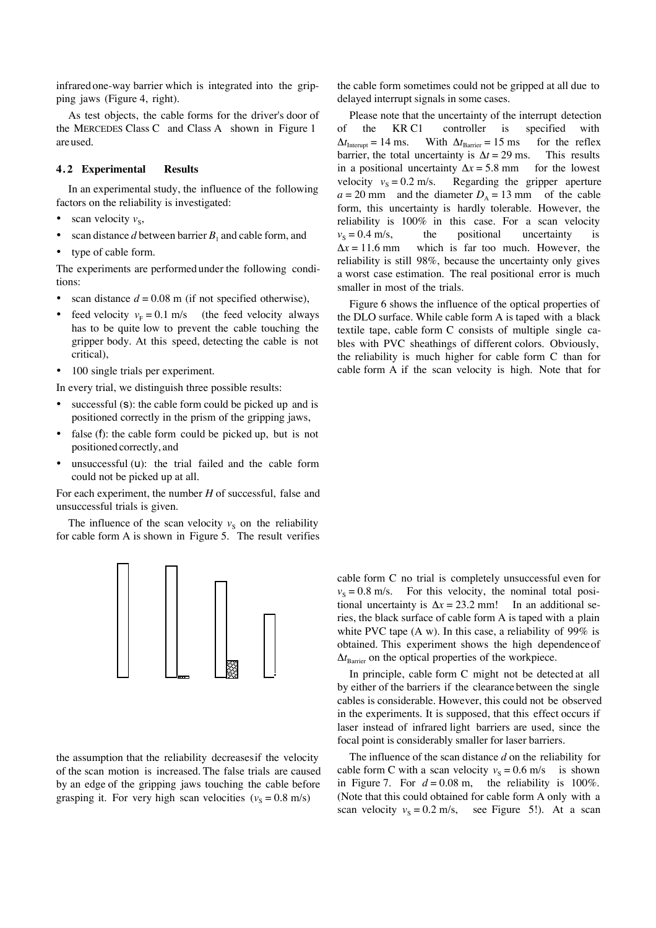infrared one-way barrier which is integrated into the gripping jaws (Figure 4, right).

As test objects, the cable forms for the driver's door of the MERCEDES Class C and Class A shown in Figure 1 are used.

## **4. 2 Experimental Results**

In an experimental study, the influence of the following factors on the reliability is investigated:

- scan velocity  $v_s$ ,
- scan distance  $d$  between barrier  $B_1$  and cable form, and
- type of cable form.

The experiments are performed under the following conditions:

- scan distance  $d = 0.08$  m (if not specified otherwise),
- feed velocity  $v_F = 0.1$  m/s (the feed velocity always has to be quite low to prevent the cable touching the gripper body. At this speed, detecting the cable is not critical),
- · 100 single trials per experiment.

In every trial, we distinguish three possible results:

- successful  $(S)$ : the cable form could be picked up and is positioned correctly in the prism of the gripping jaws,
- false  $(f)$ : the cable form could be picked up, but is not positioned correctly, and
- · unsuccessful (u): the trial failed and the cable form could not be picked up at all.

For each experiment, the number *H* of successful, false and unsuccessful trials is given.

The influence of the scan velocity  $v<sub>S</sub>$  on the reliability for cable form A is shown in Figure 5. The result verifies



the assumption that the reliability decreases if the velocity of the scan motion is increased. The false trials are caused by an edge of the gripping jaws touching the cable before grasping it. For very high scan velocities  $(v<sub>s</sub> = 0.8$  m/s)

the cable form sometimes could not be gripped at all due to delayed interrupt signals in some cases.

Please note that the uncertainty of the interrupt detection of the KR C1 controller is specified with  $\Delta t$ <sub>Interupt</sub> = 14 ms. With  $\Delta t$ <sub>Barrier</sub> = 15 ms for the reflex barrier, the total uncertainty is  $\Delta t = 29$  ms. This results in a positional uncertainty  $\Delta x = 5.8$  mm for the lowest velocity  $v_s = 0.2$  m/s. Regarding the gripper aperture  $a = 20$  mm and the diameter  $D_A = 13$  mm of the cable form, this uncertainty is hardly tolerable. However, the reliability is 100% in this case. For a scan velocity  $v_s = 0.4$  m/s, the positional uncertainty is  $\Delta x = 11.6$  mm which is far too much. However, the reliability is still 98%, because the uncertainty only gives a worst case estimation. The real positional error is much smaller in most of the trials.

Figure 6 shows the influence of the optical properties of the DLO surface. While cable form A is taped with a black textile tape, cable form C consists of multiple single cables with PVC sheathings of different colors. Obviously, the reliability is much higher for cable form C than for cable form A if the scan velocity is high. Note that for

cable form C no trial is completely unsuccessful even for  $v_s = 0.8$  m/s. For this velocity, the nominal total positional uncertainty is  $\Delta x = 23.2$  mm! In an additional series, the black surface of cable form A is taped with a plain white PVC tape (A w). In this case, a reliability of 99% is obtained. This experiment shows the high dependence of  $\Delta t_{\text{Barrier}}$  on the optical properties of the workpiece.

In principle, cable form C might not be detected at all by either of the barriers if the clearance between the single cables is considerable. However, this could not be observed in the experiments. It is supposed, that this effect occurs if laser instead of infrared light barriers are used, since the focal point is considerably smaller for laser barriers.

The influence of the scan distance *d* on the reliability for cable form C with a scan velocity  $v_s = 0.6$  m/s is shown in Figure 7. For  $d = 0.08$  m, the reliability is 100%. (Note that this could obtained for cable form A only with a scan velocity  $v_s = 0.2$  m/s, see Figure 5!). At a scan